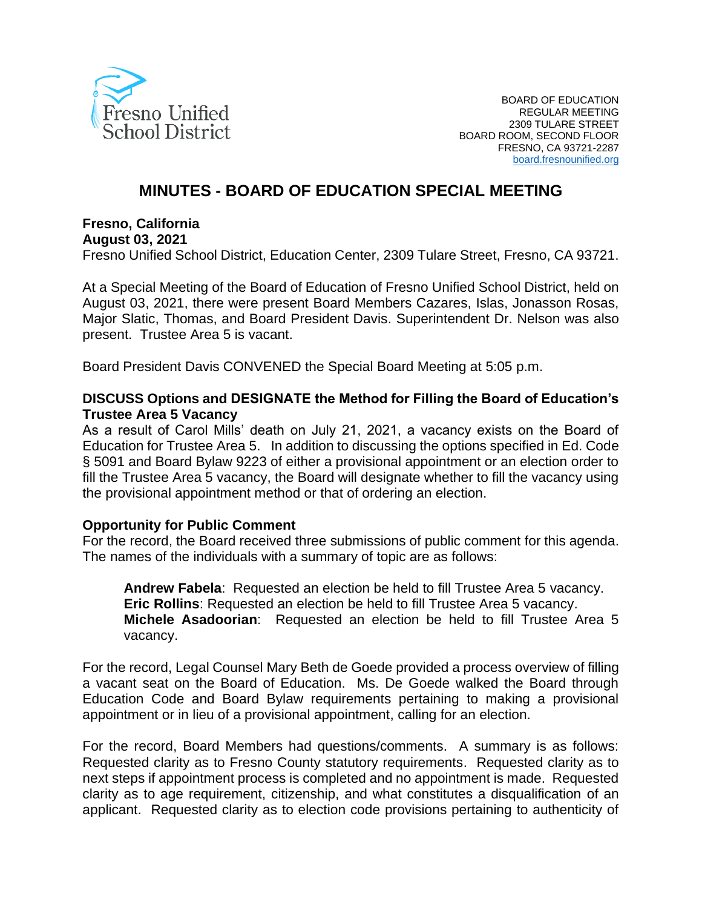

# **MINUTES - BOARD OF EDUCATION SPECIAL MEETING**

#### **Fresno, California**

## **August 03, 2021**

Fresno Unified School District, Education Center, 2309 Tulare Street, Fresno, CA 93721.

At a Special Meeting of the Board of Education of Fresno Unified School District, held on August 03, 2021, there were present Board Members Cazares, Islas, Jonasson Rosas, Major Slatic, Thomas, and Board President Davis. Superintendent Dr. Nelson was also present. Trustee Area 5 is vacant.

Board President Davis CONVENED the Special Board Meeting at 5:05 p.m.

## **DISCUSS Options and DESIGNATE the Method for Filling the Board of Education's Trustee Area 5 Vacancy**

As a result of Carol Mills' death on July 21, 2021, a vacancy exists on the Board of Education for Trustee Area 5. In addition to discussing the options specified in Ed. Code § 5091 and Board Bylaw 9223 of either a provisional appointment or an election order to fill the Trustee Area 5 vacancy, the Board will designate whether to fill the vacancy using the provisional appointment method or that of ordering an election.

## **Opportunity for Public Comment**

For the record, the Board received three submissions of public comment for this agenda. The names of the individuals with a summary of topic are as follows:

**Andrew Fabela**: Requested an election be held to fill Trustee Area 5 vacancy. **Eric Rollins**: Requested an election be held to fill Trustee Area 5 vacancy. **Michele Asadoorian**: Requested an election be held to fill Trustee Area 5 vacancy.

For the record, Legal Counsel Mary Beth de Goede provided a process overview of filling a vacant seat on the Board of Education. Ms. De Goede walked the Board through Education Code and Board Bylaw requirements pertaining to making a provisional appointment or in lieu of a provisional appointment, calling for an election.

For the record, Board Members had questions/comments. A summary is as follows: Requested clarity as to Fresno County statutory requirements. Requested clarity as to next steps if appointment process is completed and no appointment is made. Requested clarity as to age requirement, citizenship, and what constitutes a disqualification of an applicant. Requested clarity as to election code provisions pertaining to authenticity of